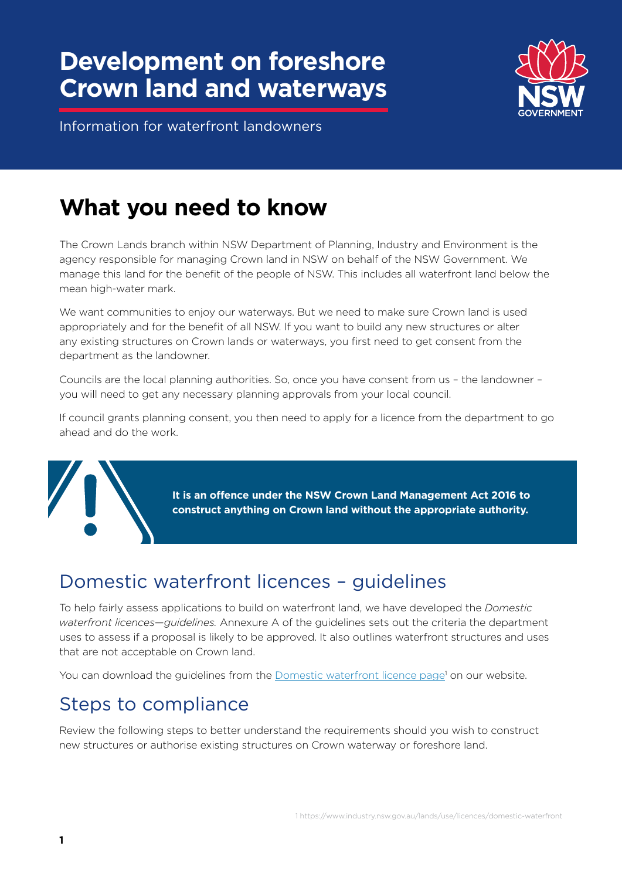# **Development on foreshore Crown land and waterways**



Information for waterfront landowners

# **What you need to know**

The Crown Lands branch within NSW Department of Planning, Industry and Environment is the agency responsible for managing Crown land in NSW on behalf of the NSW Government. We manage this land for the benefit of the people of NSW. This includes all waterfront land below the mean high-water mark.

We want communities to enjoy our waterways. But we need to make sure Crown land is used appropriately and for the benefit of all NSW. If you want to build any new structures or alter any existing structures on Crown lands or waterways, you first need to get consent from the department as the landowner.

Councils are the local planning authorities. So, once you have consent from us – the landowner – you will need to get any necessary planning approvals from your local council.

If council grants planning consent, you then need to apply for a licence from the department to go ahead and do the work.

> **It is an offence under the NSW Crown Land Management Act 2016 to construct anything on Crown land without the appropriate authority.**

# Domestic waterfront licences – guidelines

To help fairly assess applications to build on waterfront land, we have developed the *Domestic waterfront licences—guidelines.* Annexure A of the guidelines sets out the criteria the department uses to assess if a proposal is likely to be approved. It also outlines waterfront structures and uses that are not acceptable on Crown land.

You can download the guidelines from the [Domestic waterfront licence page](https://www.industry.nsw.gov.au/lands/use/licences/domestic-waterfront)<sup>1</sup> on our website.

### Steps to compliance

Review the following steps to better understand the requirements should you wish to construct new structures or authorise existing structures on Crown waterway or foreshore land.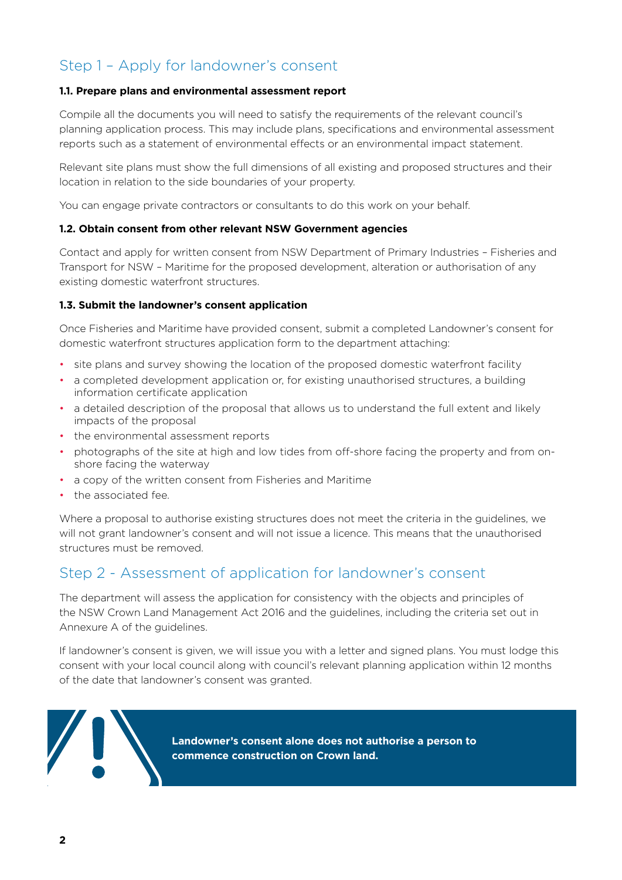### Step 1 – Apply for landowner's consent

### **1.1. Prepare plans and environmental assessment report**

Compile all the documents you will need to satisfy the requirements of the relevant council's planning application process. This may include plans, specifications and environmental assessment reports such as a statement of environmental effects or an environmental impact statement.

Relevant site plans must show the full dimensions of all existing and proposed structures and their location in relation to the side boundaries of your property.

You can engage private contractors or consultants to do this work on your behalf.

### **1.2. Obtain consent from other relevant NSW Government agencies**

Contact and apply for written consent from NSW Department of Primary Industries – Fisheries and Transport for NSW – Maritime for the proposed development, alteration or authorisation of any existing domestic waterfront structures.

### **1.3. Submit the landowner's consent application**

Once Fisheries and Maritime have provided consent, submit a completed Landowner's consent for domestic waterfront structures application form to the department attaching:

- site plans and survey showing the location of the proposed domestic waterfront facility
- a completed development application or, for existing unauthorised structures, a building information certificate application
- a detailed description of the proposal that allows us to understand the full extent and likely impacts of the proposal
- the environmental assessment reports
- photographs of the site at high and low tides from off-shore facing the property and from onshore facing the waterway
- a copy of the written consent from Fisheries and Maritime
- the associated fee.

Where a proposal to authorise existing structures does not meet the criteria in the guidelines, we will not grant landowner's consent and will not issue a licence. This means that the unauthorised structures must be removed.

### Step 2 - Assessment of application for landowner's consent

The department will assess the application for consistency with the objects and principles of the NSW Crown Land Management Act 2016 and the guidelines, including the criteria set out in Annexure A of the guidelines.

If landowner's consent is given, we will issue you with a letter and signed plans. You must lodge this consent with your local council along with council's relevant planning application within 12 months of the date that landowner's consent was granted.



**Landowner's consent alone does not authorise a person to commence construction on Crown land.**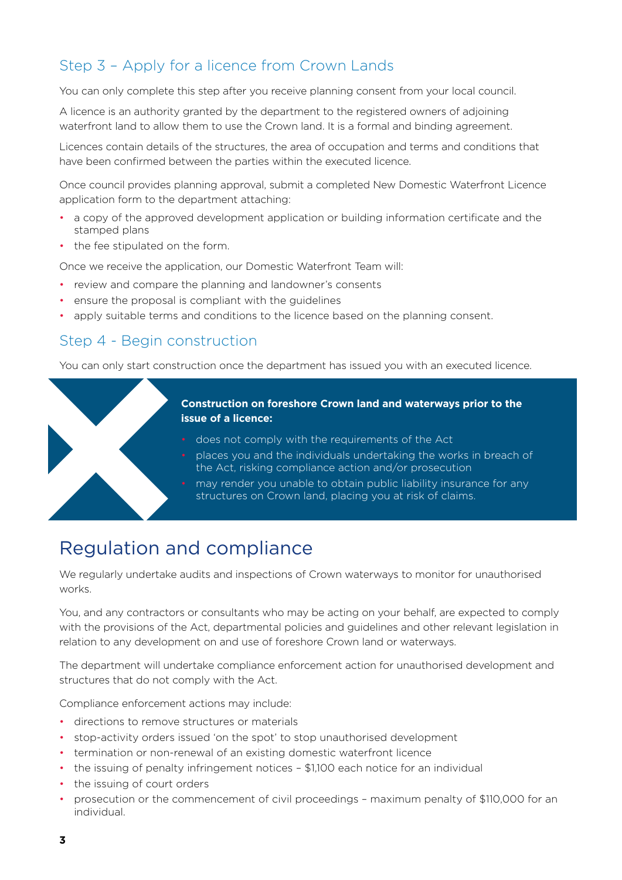### Step 3 – Apply for a licence from Crown Lands

You can only complete this step after you receive planning consent from your local council.

A licence is an authority granted by the department to the registered owners of adjoining waterfront land to allow them to use the Crown land. It is a formal and binding agreement.

Licences contain details of the structures, the area of occupation and terms and conditions that have been confirmed between the parties within the executed licence.

Once council provides planning approval, submit a completed New Domestic Waterfront Licence application form to the department attaching:

- a copy of the approved development application or building information certificate and the stamped plans
- the fee stipulated on the form.

Once we receive the application, our Domestic Waterfront Team will:

- review and compare the planning and landowner's consents
- ensure the proposal is compliant with the guidelines
- apply suitable terms and conditions to the licence based on the planning consent.

### Step 4 - Begin construction

You can only start construction once the department has issued you with an executed licence.



## Regulation and compliance

We regularly undertake audits and inspections of Crown waterways to monitor for unauthorised works.

You, and any contractors or consultants who may be acting on your behalf, are expected to comply with the provisions of the Act, departmental policies and guidelines and other relevant legislation in relation to any development on and use of foreshore Crown land or waterways.

The department will undertake compliance enforcement action for unauthorised development and structures that do not comply with the Act.

Compliance enforcement actions may include:

- directions to remove structures or materials
- stop-activity orders issued 'on the spot' to stop unauthorised development
- termination or non-renewal of an existing domestic waterfront licence
- the issuing of penalty infringement notices \$1,100 each notice for an individual
- the issuing of court orders
- prosecution or the commencement of civil proceedings maximum penalty of \$110,000 for an individual.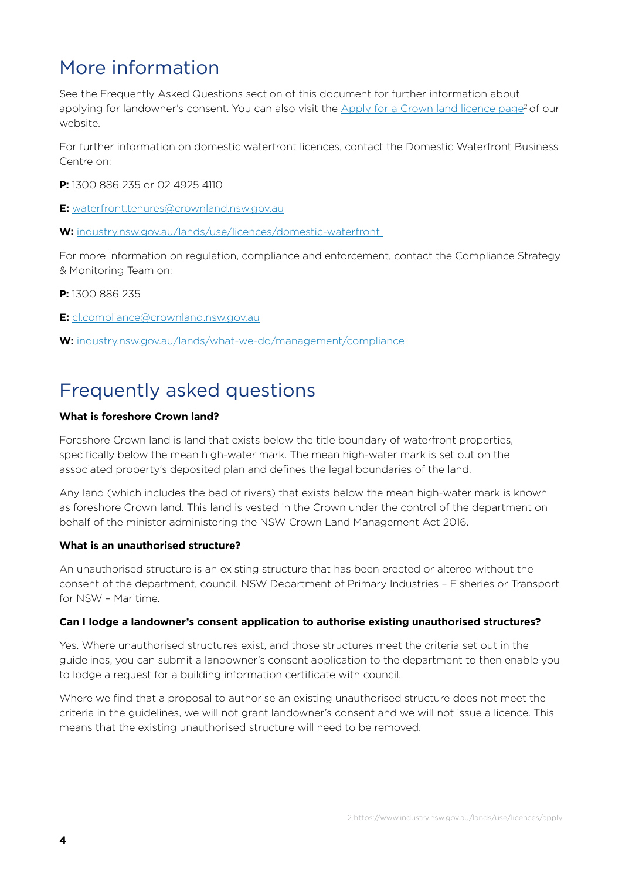# More information

See the Frequently Asked Questions section of this document for further information about applying for landowner's consent. You can also visit the Apply for a Crown land licence page<sup>2</sup> of our website.

For further information on domestic waterfront licences, contact the Domestic Waterfront Business Centre on:

**P:** 1300 886 235 or 02 4925 4110

**E:** [waterfront.tenures@crownland.nsw.gov.au](mailto:waterfront.tenures%40crownland.nsw.gov.au?subject=) 

**W:** [industry.nsw.gov.au/lands/use/licences/domestic-waterfront](http://industry.nsw.gov.au/lands/use/licences/domestic-waterfront  ) 

For more information on regulation, compliance and enforcement, contact the Compliance Strategy & Monitoring Team on:

**P:** 1300 886 235

**E:** [cl.compliance@crownland.nsw.gov.au](mailto:cl.compliance%40crownland.nsw.gov.au?subject=)

**W:** [industry.nsw.gov.au/lands/what-we-do/management/compliance](http://industry.nsw.gov.au/lands/what-we-do/management/compliance)

## Frequently asked questions

### **What is foreshore Crown land?**

Foreshore Crown land is land that exists below the title boundary of waterfront properties, specifically below the mean high-water mark. The mean high-water mark is set out on the associated property's deposited plan and defines the legal boundaries of the land.

Any land (which includes the bed of rivers) that exists below the mean high-water mark is known as foreshore Crown land. This land is vested in the Crown under the control of the department on behalf of the minister administering the NSW Crown Land Management Act 2016.

#### **What is an unauthorised structure?**

An unauthorised structure is an existing structure that has been erected or altered without the consent of the department, council, NSW Department of Primary Industries – Fisheries or Transport for NSW – Maritime.

### **Can I lodge a landowner's consent application to authorise existing unauthorised structures?**

Yes. Where unauthorised structures exist, and those structures meet the criteria set out in the guidelines, you can submit a landowner's consent application to the department to then enable you to lodge a request for a building information certificate with council.

Where we find that a proposal to authorise an existing unauthorised structure does not meet the criteria in the guidelines, we will not grant landowner's consent and we will not issue a licence. This means that the existing unauthorised structure will need to be removed.